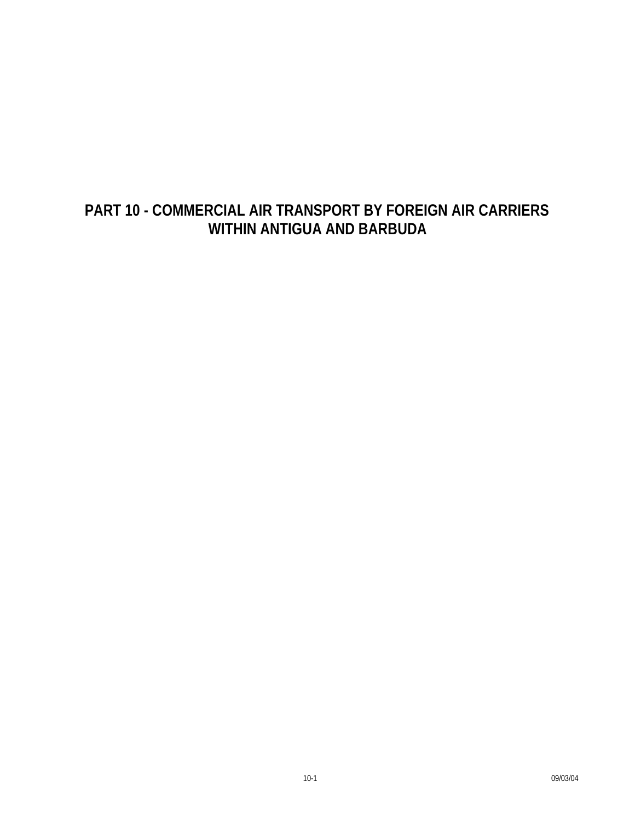# **PART 10 - COMMERCIAL AIR TRANSPORT BY FOREIGN AIR CARRIERS WITHIN ANTIGUA AND BARBUDA**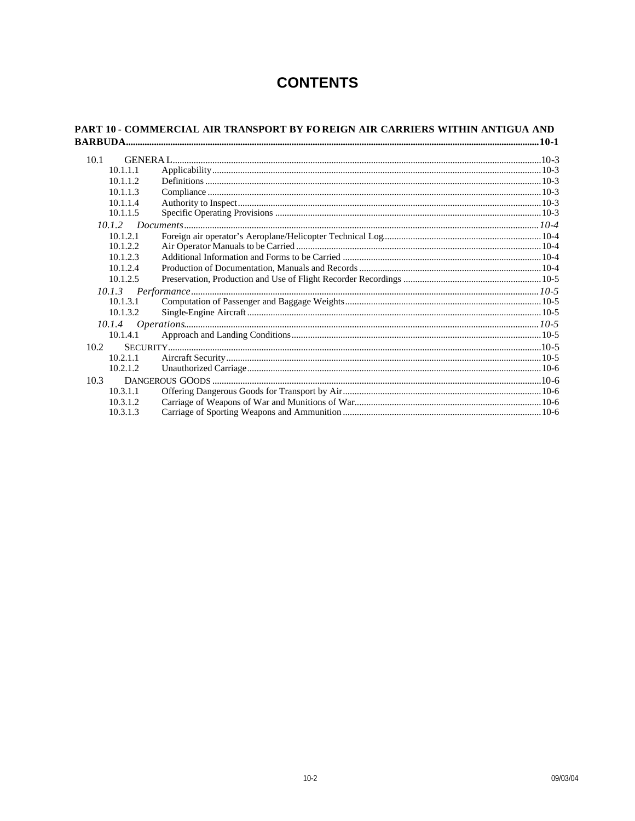## **CONTENTS**

| 10.1     |  |  |
|----------|--|--|
| 10.1.1.1 |  |  |
| 10.1.1.2 |  |  |
| 10.1.1.3 |  |  |
| 10.1.1.4 |  |  |
| 10.1.1.5 |  |  |
|          |  |  |
| 10.1.2.1 |  |  |
| 10.1.2.2 |  |  |
| 10.1.2.3 |  |  |
| 10.1.2.4 |  |  |
| 10.1.2.5 |  |  |
|          |  |  |
| 10.1.3.1 |  |  |
| 10.1.3.2 |  |  |
|          |  |  |
| 10.1.4.1 |  |  |
| 10.2     |  |  |
| 10.2.1.1 |  |  |
| 10.2.1.2 |  |  |
| 10.3     |  |  |
| 10.3.1.1 |  |  |
| 10.3.1.2 |  |  |
| 10.3.1.3 |  |  |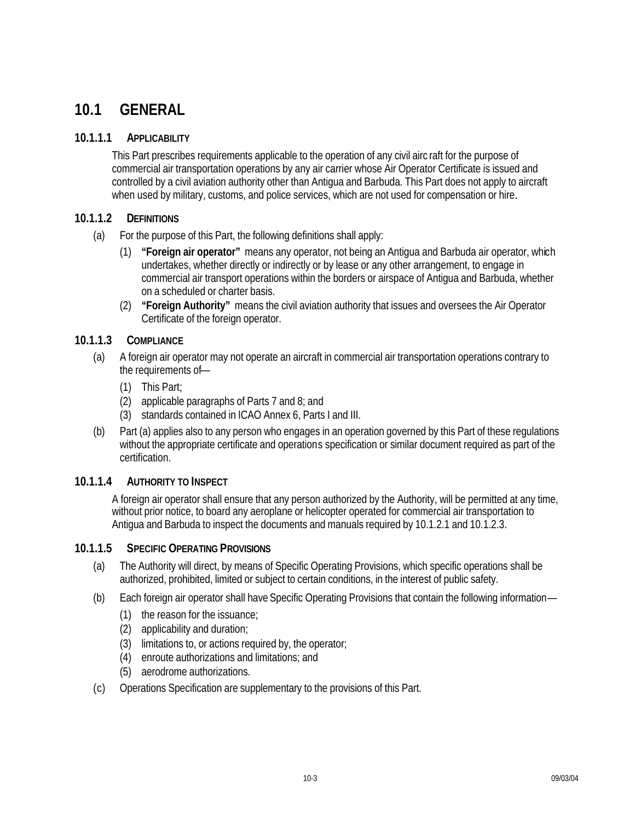# **10.1 GENERAL**

#### **10.1.1.1 APPLICABILITY**

This Part prescribes requirements applicable to the operation of any civil airc raft for the purpose of commercial air transportation operations by any air carrier whose Air Operator Certificate is issued and controlled by a civil aviation authority other than Antigua and Barbuda. This Part does not apply to aircraft when used by military, customs, and police services, which are not used for compensation or hire.

#### **10.1.1.2 DEFINITIONS**

- (a) For the purpose of this Part, the following definitions shall apply:
	- (1) **"Foreign air operator"** means any operator, not being an Antigua and Barbuda air operator, which undertakes, whether directly or indirectly or by lease or any other arrangement, to engage in commercial air transport operations within the borders or airspace of Antigua and Barbuda, whether on a scheduled or charter basis.
	- (2) **"Foreign Authority"** means the civil aviation authority that issues and oversees the Air Operator Certificate of the foreign operator.

## **10.1.1.3 COMPLIANCE**

- (a) A foreign air operator may not operate an aircraft in commercial air transportation operations contrary to the requirements of—
	- (1) This Part;
	- (2) applicable paragraphs of Parts 7 and 8; and
	- (3) standards contained in ICAO Annex 6, Parts I and III.
- (b) Part (a) applies also to any person who engages in an operation governed by this Part of these regulations without the appropriate certificate and operations specification or similar document required as part of the certification.

#### **10.1.1.4 AUTHORITY TO INSPECT**

A foreign air operator shall ensure that any person authorized by the Authority, will be permitted at any time, without prior notice, to board any aeroplane or helicopter operated for commercial air transportation to Antigua and Barbuda to inspect the documents and manuals required by 10.1.2.1 and 10.1.2.3.

#### **10.1.1.5 SPECIFIC OPERATING PROVISIONS**

- (a) The Authority will direct, by means of Specific Operating Provisions, which specific operations shall be authorized, prohibited, limited or subject to certain conditions, in the interest of public safety.
- (b) Each foreign air operator shall have Specific Operating Provisions that contain the following information—
	- (1) the reason for the issuance;
	- (2) applicability and duration;
	- (3) limitations to, or actions required by, the operator;
	- (4) enroute authorizations and limitations; and
	- (5) aerodrome authorizations.
- (c) Operations Specification are supplementary to the provisions of this Part.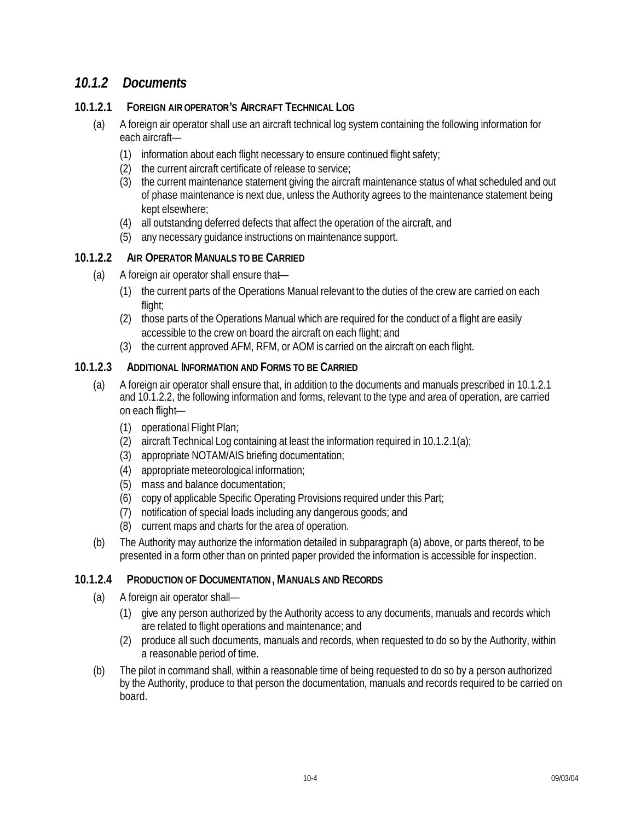## *10.1.2 Documents*

## **10.1.2.1 FOREIGN AIR OPERATOR'S AIRCRAFT TECHNICAL LOG**

- (a) A foreign air operator shall use an aircraft technical log system containing the following information for each aircraft—
	- (1) information about each flight necessary to ensure continued flight safety;
	- (2) the current aircraft certificate of release to service;
	- (3) the current maintenance statement giving the aircraft maintenance status of what scheduled and out of phase maintenance is next due, unless the Authority agrees to the maintenance statement being kept elsewhere;
	- (4) all outstanding deferred defects that affect the operation of the aircraft, and
	- (5) any necessary guidance instructions on maintenance support.

## **10.1.2.2 AIR OPERATOR MANUALS TO BE CARRIED**

- (a) A foreign air operator shall ensure that—
	- (1) the current parts of the Operations Manual relevant to the duties of the crew are carried on each flight;
	- (2) those parts of the Operations Manual which are required for the conduct of a flight are easily accessible to the crew on board the aircraft on each flight; and
	- (3) the current approved AFM, RFM, or AOM is carried on the aircraft on each flight.

## **10.1.2.3 ADDITIONAL INFORMATION AND FORMS TO BE CARRIED**

- (a) A foreign air operator shall ensure that, in addition to the documents and manuals prescribed in 10.1.2.1 and 10.1.2.2, the following information and forms, relevant to the type and area of operation, are carried on each flight—
	- (1) operational Flight Plan;
	- (2) aircraft Technical Log containing at least the information required in 10.1.2.1(a);
	- (3) appropriate NOTAM/AIS briefing documentation;
	- (4) appropriate meteorological information;
	- (5) mass and balance documentation;
	- (6) copy of applicable Specific Operating Provisions required under this Part;
	- (7) notification of special loads including any dangerous goods; and
	- (8) current maps and charts for the area of operation.
- (b) The Authority may authorize the information detailed in subparagraph (a) above, or parts thereof, to be presented in a form other than on printed paper provided the information is accessible for inspection.

## **10.1.2.4 PRODUCTION OF DOCUMENTATION, MANUALS AND RECORDS**

- (a) A foreign air operator shall—
	- (1) give any person authorized by the Authority access to any documents, manuals and records which are related to flight operations and maintenance; and
	- (2) produce all such documents, manuals and records, when requested to do so by the Authority, within a reasonable period of time.
- (b) The pilot in command shall, within a reasonable time of being requested to do so by a person authorized by the Authority, produce to that person the documentation, manuals and records required to be carried on board.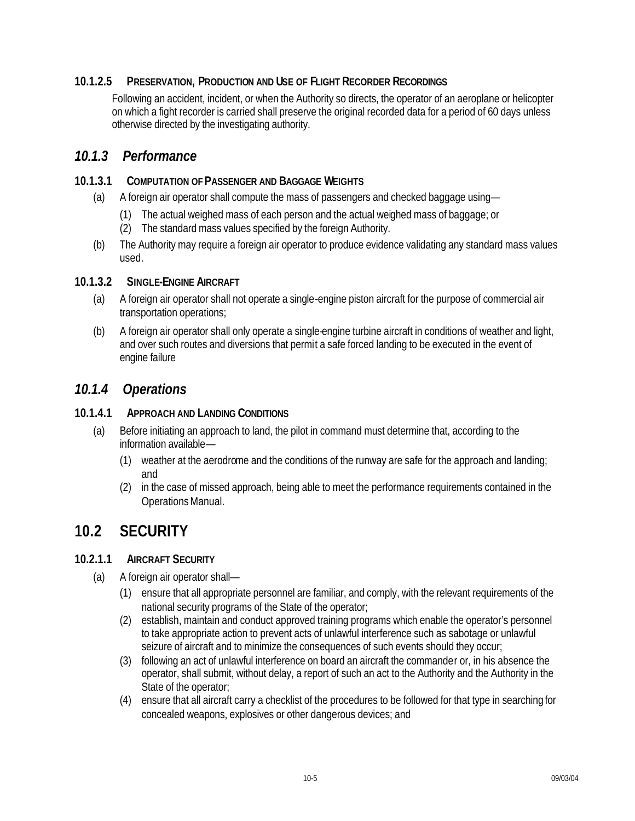## **10.1.2.5 PRESERVATION, PRODUCTION AND USE OF FLIGHT RECORDER RECORDINGS**

Following an accident, incident, or when the Authority so directs, the operator of an aeroplane or helicopter on which a fight recorder is carried shall preserve the original recorded data for a period of 60 days unless otherwise directed by the investigating authority.

## *10.1.3 Performance*

#### **10.1.3.1 COMPUTATION OF PASSENGER AND BAGGAGE WEIGHTS**

- (a) A foreign air operator shall compute the mass of passengers and checked baggage using—
	- (1) The actual weighed mass of each person and the actual weighed mass of baggage; or
	- (2) The standard mass values specified by the foreign Authority.
- (b) The Authority may require a foreign air operator to produce evidence validating any standard mass values used.

#### **10.1.3.2 SINGLE-ENGINE AIRCRAFT**

- (a) A foreign air operator shall not operate a single-engine piston aircraft for the purpose of commercial air transportation operations;
- (b) A foreign air operator shall only operate a single-engine turbine aircraft in conditions of weather and light, and over such routes and diversions that permit a safe forced landing to be executed in the event of engine failure

## *10.1.4 Operations*

#### **10.1.4.1 APPROACH AND LANDING CONDITIONS**

- (a) Before initiating an approach to land, the pilot in command must determine that, according to the information available—
	- (1) weather at the aerodrome and the conditions of the runway are safe for the approach and landing; and
	- (2) in the case of missed approach, being able to meet the performance requirements contained in the Operations Manual.

## **10.2 SECURITY**

#### **10.2.1.1 AIRCRAFT SECURITY**

- (a) A foreign air operator shall—
	- (1) ensure that all appropriate personnel are familiar, and comply, with the relevant requirements of the national security programs of the State of the operator;
	- (2) establish, maintain and conduct approved training programs which enable the operator's personnel to take appropriate action to prevent acts of unlawful interference such as sabotage or unlawful seizure of aircraft and to minimize the consequences of such events should they occur;
	- (3) following an act of unlawful interference on board an aircraft the commander or, in his absence the operator, shall submit, without delay, a report of such an act to the Authority and the Authority in the State of the operator;
	- (4) ensure that all aircraft carry a checklist of the procedures to be followed for that type in searching for concealed weapons, explosives or other dangerous devices; and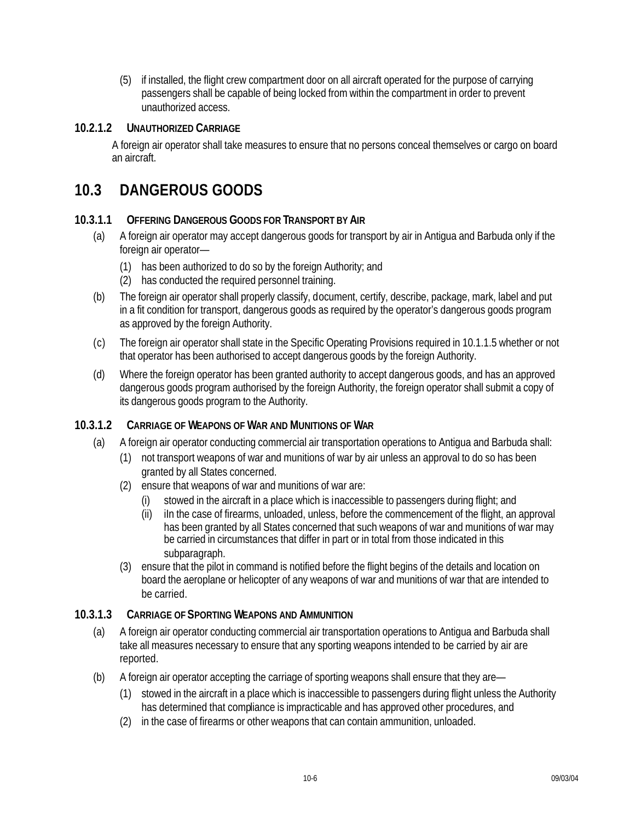(5) if installed, the flight crew compartment door on all aircraft operated for the purpose of carrying passengers shall be capable of being locked from within the compartment in order to prevent unauthorized access.

#### **10.2.1.2 UNAUTHORIZED CARRIAGE**

A foreign air operator shall take measures to ensure that no persons conceal themselves or cargo on board an aircraft.

## **10.3 DANGEROUS GOODS**

#### **10.3.1.1 OFFERING DANGEROUS GOODS FOR TRANSPORT BY AIR**

- (a) A foreign air operator may accept dangerous goods for transport by air in Antigua and Barbuda only if the foreign air operator—
	- (1) has been authorized to do so by the foreign Authority; and
	- (2) has conducted the required personnel training.
- (b) The foreign air operator shall properly classify, document, certify, describe, package, mark, label and put in a fit condition for transport, dangerous goods as required by the operator's dangerous goods program as approved by the foreign Authority.
- (c) The foreign air operator shall state in the Specific Operating Provisions required in 10.1.1.5 whether or not that operator has been authorised to accept dangerous goods by the foreign Authority.
- (d) Where the foreign operator has been granted authority to accept dangerous goods, and has an approved dangerous goods program authorised by the foreign Authority, the foreign operator shall submit a copy of its dangerous goods program to the Authority.

## **10.3.1.2 CARRIAGE OF WEAPONS OF WAR AND MUNITIONS OF WAR**

- (a) A foreign air operator conducting commercial air transportation operations to Antigua and Barbuda shall:
	- (1) not transport weapons of war and munitions of war by air unless an approval to do so has been granted by all States concerned.
	- (2) ensure that weapons of war and munitions of war are:
		- (i) stowed in the aircraft in a place which is inaccessible to passengers during flight; and
		- (ii) iIn the case of firearms, unloaded, unless, before the commencement of the flight, an approval has been granted by all States concerned that such weapons of war and munitions of war may be carried in circumstances that differ in part or in total from those indicated in this subparagraph.
	- (3) ensure that the pilot in command is notified before the flight begins of the details and location on board the aeroplane or helicopter of any weapons of war and munitions of war that are intended to be carried.

## **10.3.1.3 CARRIAGE OF SPORTING WEAPONS AND AMMUNITION**

- (a) A foreign air operator conducting commercial air transportation operations to Antigua and Barbuda shall take all measures necessary to ensure that any sporting weapons intended to be carried by air are reported.
- (b) A foreign air operator accepting the carriage of sporting weapons shall ensure that they are—
	- (1) stowed in the aircraft in a place which is inaccessible to passengers during flight unless the Authority has determined that compliance is impracticable and has approved other procedures, and
	- (2) in the case of firearms or other weapons that can contain ammunition, unloaded.